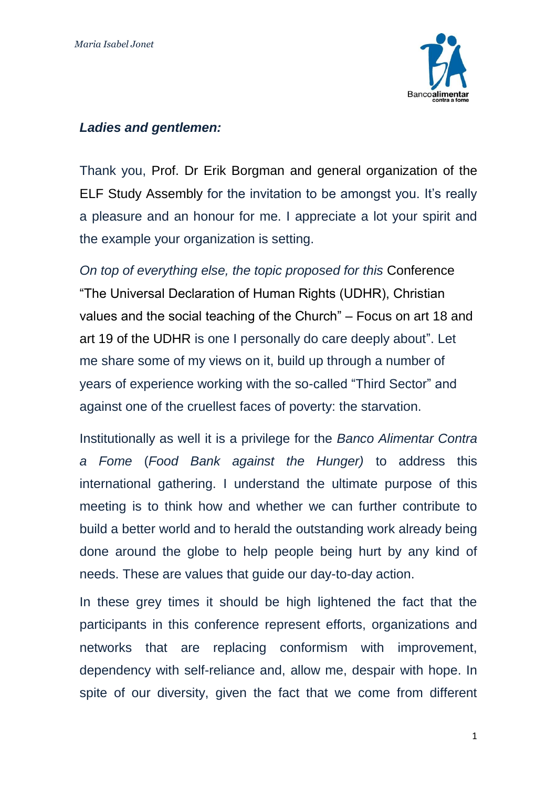

## *Ladies and gentlemen:*

Thank you, Prof. Dr Erik Borgman and general organization of the ELF Study Assembly for the invitation to be amongst you. It's really a pleasure and an honour for me. I appreciate a lot your spirit and the example your organization is setting.

*On top of everything else, the topic proposed for this* Conference "The Universal Declaration of Human Rights (UDHR), Christian values and the social teaching of the Church" – Focus on art 18 and art 19 of the UDHR is one I personally do care deeply about". Let me share some of my views on it, build up through a number of years of experience working with the so-called "Third Sector" and against one of the cruellest faces of poverty: the starvation.

Institutionally as well it is a privilege for the *Banco Alimentar Contra a Fome* (*Food Bank against the Hunger)* to address this international gathering. I understand the ultimate purpose of this meeting is to think how and whether we can further contribute to build a better world and to herald the outstanding work already being done around the globe to help people being hurt by any kind of needs. These are values that guide our day-to-day action.

In these grey times it should be high lightened the fact that the participants in this conference represent efforts, organizations and networks that are replacing conformism with improvement, dependency with self-reliance and, allow me, despair with hope. In spite of our diversity, given the fact that we come from different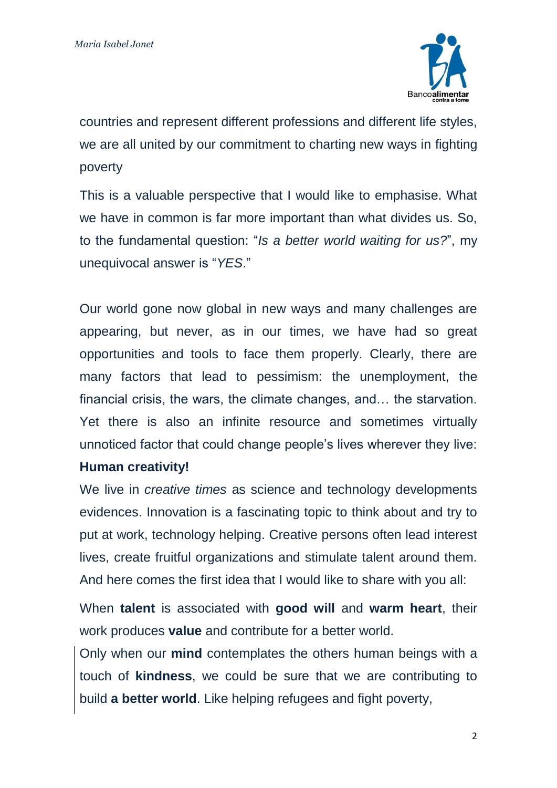

countries and represent different professions and different life styles, we are all united by our commitment to charting new ways in fighting poverty

This is a valuable perspective that I would like to emphasise. What we have in common is far more important than what divides us. So, to the fundamental question: "*Is a better world waiting for us?*", my unequivocal answer is "*YES*."

Our world gone now global in new ways and many challenges are appearing, but never, as in our times, we have had so great opportunities and tools to face them properly. Clearly, there are many factors that lead to pessimism: the unemployment, the financial crisis, the wars, the climate changes, and… the starvation. Yet there is also an infinite resource and sometimes virtually unnoticed factor that could change people's lives wherever they live:

## **Human creativity!**

We live in *creative times* as science and technology developments evidences. Innovation is a fascinating topic to think about and try to put at work, technology helping. Creative persons often lead interest lives, create fruitful organizations and stimulate talent around them. And here comes the first idea that I would like to share with you all:

When **talent** is associated with **good will** and **warm heart**, their work produces **value** and contribute for a better world.

Only when our **mind** contemplates the others human beings with a touch of **kindness**, we could be sure that we are contributing to build **a better world**. Like helping refugees and fight poverty,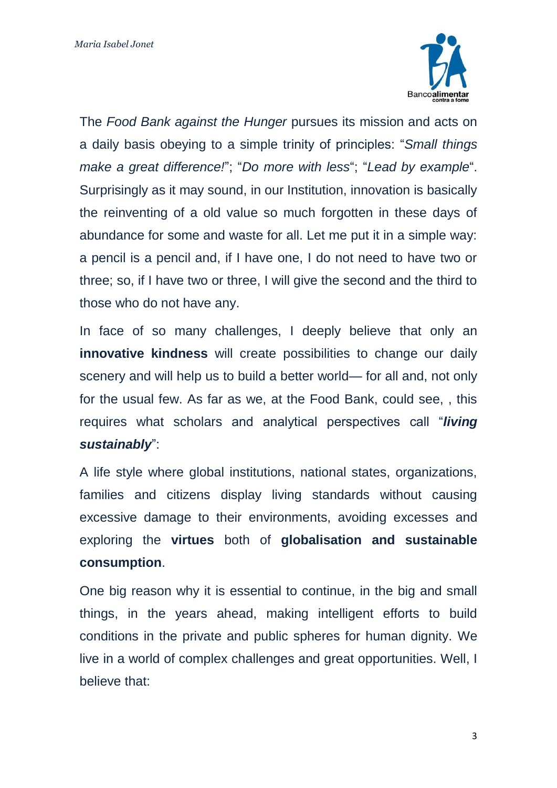

The *Food Bank against the Hunger* pursues its mission and acts on a daily basis obeying to a simple trinity of principles: "*Small things make a great difference!*"; "*Do more with less*"; "*Lead by example*". Surprisingly as it may sound, in our Institution, innovation is basically the reinventing of a old value so much forgotten in these days of abundance for some and waste for all. Let me put it in a simple way: a pencil is a pencil and, if I have one, I do not need to have two or three; so, if I have two or three, I will give the second and the third to those who do not have any.

In face of so many challenges, I deeply believe that only an **innovative kindness** will create possibilities to change our daily scenery and will help us to build a better world— for all and, not only for the usual few. As far as we, at the Food Bank, could see, , this requires what scholars and analytical perspectives call "*living sustainably*":

A life style where global institutions, national states, organizations, families and citizens display living standards without causing excessive damage to their environments, avoiding excesses and exploring the **virtues** both of **globalisation and sustainable consumption**.

One big reason why it is essential to continue, in the big and small things, in the years ahead, making intelligent efforts to build conditions in the private and public spheres for human dignity. We live in a world of complex challenges and great opportunities. Well, I believe that: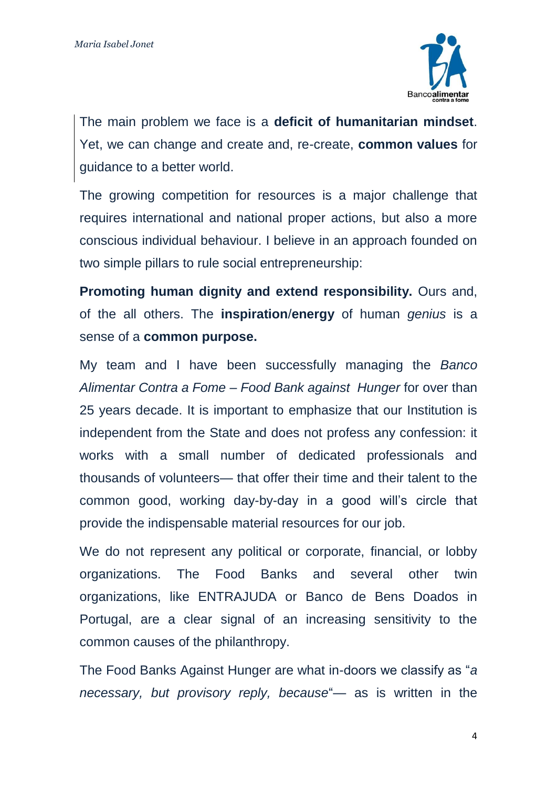

The main problem we face is a **deficit of humanitarian mindset**. Yet, we can change and create and, re-create, **common values** for guidance to a better world.

The growing competition for resources is a major challenge that requires international and national proper actions, but also a more conscious individual behaviour. I believe in an approach founded on two simple pillars to rule social entrepreneurship:

**Promoting human dignity and extend responsibility.** Ours and, of the all others. The **inspiration**/**energy** of human *genius* is a sense of a **common purpose.**

My team and I have been successfully managing the *Banco Alimentar Contra a Fome – Food Bank against Hunger* for over than 25 years decade. It is important to emphasize that our Institution is independent from the State and does not profess any confession: it works with a small number of dedicated professionals and thousands of volunteers— that offer their time and their talent to the common good, working day-by-day in a good will's circle that provide the indispensable material resources for our job.

We do not represent any political or corporate, financial, or lobby organizations. The Food Banks and several other twin organizations, like ENTRAJUDA or Banco de Bens Doados in Portugal, are a clear signal of an increasing sensitivity to the common causes of the philanthropy.

The Food Banks Against Hunger are what in-doors we classify as "*a necessary, but provisory reply, because*"— as is written in the